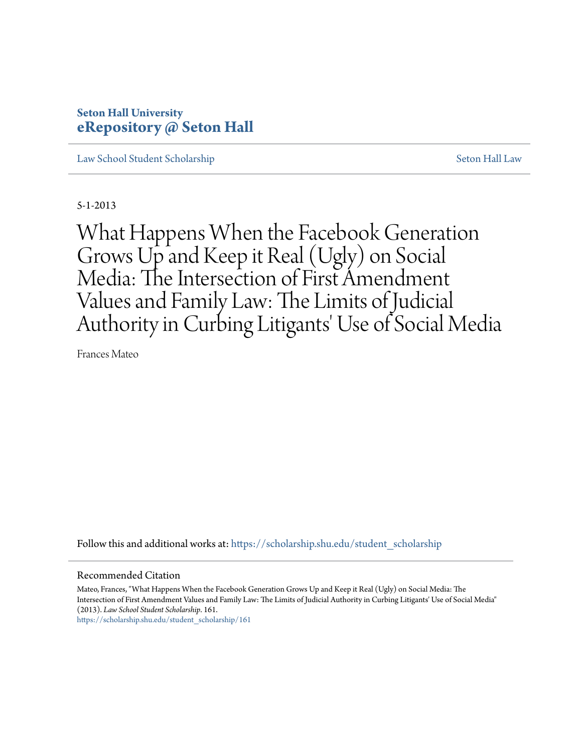# **Seton Hall University [eRepository @ Seton Hall](https://scholarship.shu.edu?utm_source=scholarship.shu.edu%2Fstudent_scholarship%2F161&utm_medium=PDF&utm_campaign=PDFCoverPages)**

[Law School Student Scholarship](https://scholarship.shu.edu/student_scholarship?utm_source=scholarship.shu.edu%2Fstudent_scholarship%2F161&utm_medium=PDF&utm_campaign=PDFCoverPages) [Seton Hall Law](https://scholarship.shu.edu/law?utm_source=scholarship.shu.edu%2Fstudent_scholarship%2F161&utm_medium=PDF&utm_campaign=PDFCoverPages)

5-1-2013

What Happens When the Facebook Generation Grows Up and Keep it Real (Ugly) on Social Media: The Intersection of First Amendment Values and Family Law: The Limits of Judicial Authority in Curbing Litigants' Use of Social Media

Frances Mateo

Follow this and additional works at: [https://scholarship.shu.edu/student\\_scholarship](https://scholarship.shu.edu/student_scholarship?utm_source=scholarship.shu.edu%2Fstudent_scholarship%2F161&utm_medium=PDF&utm_campaign=PDFCoverPages)

Recommended Citation

Mateo, Frances, "What Happens When the Facebook Generation Grows Up and Keep it Real (Ugly) on Social Media: The Intersection of First Amendment Values and Family Law: The Limits of Judicial Authority in Curbing Litigants' Use of Social Media" (2013). *Law School Student Scholarship*. 161.

[https://scholarship.shu.edu/student\\_scholarship/161](https://scholarship.shu.edu/student_scholarship/161?utm_source=scholarship.shu.edu%2Fstudent_scholarship%2F161&utm_medium=PDF&utm_campaign=PDFCoverPages)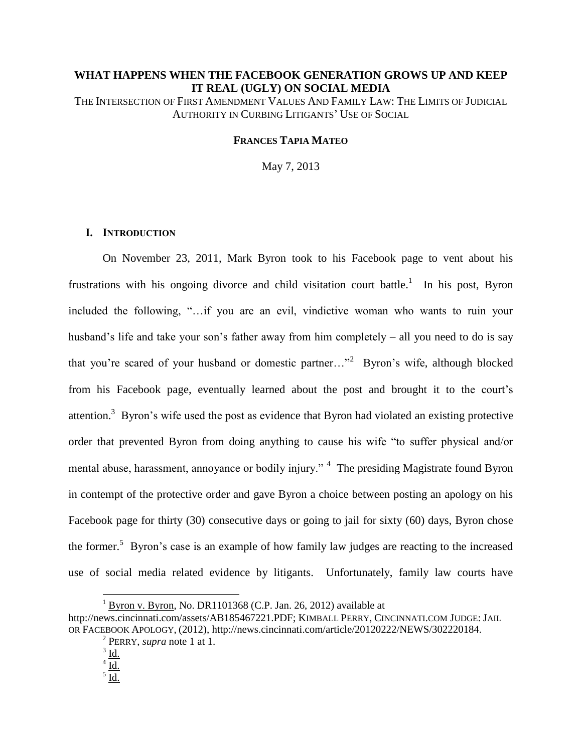# **WHAT HAPPENS WHEN THE FACEBOOK GENERATION GROWS UP AND KEEP IT REAL (UGLY) ON SOCIAL MEDIA**

THE INTERSECTION OF FIRST AMENDMENT VALUES AND FAMILY LAW: THE LIMITS OF JUDICIAL AUTHORITY IN CURBING LITIGANTS' USE OF SOCIAL

#### **FRANCES TAPIA MATEO**

May 7, 2013

## **I. INTRODUCTION**

On November 23, 2011, Mark Byron took to his Facebook page to vent about his frustrations with his ongoing divorce and child visitation court battle.<sup>1</sup> In his post, Byron included the following, "…if you are an evil, vindictive woman who wants to ruin your husband's life and take your son's father away from him completely – all you need to do is say that you're scared of your husband or domestic partner..."<sup>2</sup> Byron's wife, although blocked from his Facebook page, eventually learned about the post and brought it to the court's attention.<sup>3</sup> Byron's wife used the post as evidence that Byron had violated an existing protective order that prevented Byron from doing anything to cause his wife "to suffer physical and/or mental abuse, harassment, annoyance or bodily injury."<sup>4</sup> The presiding Magistrate found Byron in contempt of the protective order and gave Byron a choice between posting an apology on his Facebook page for thirty (30) consecutive days or going to jail for sixty (60) days, Byron chose the former.<sup>5</sup> Byron's case is an example of how family law judges are reacting to the increased use of social media related evidence by litigants. Unfortunately, family law courts have

 $\overline{a}$ 

<sup>&</sup>lt;sup>1</sup> Byron v. Byron, No. DR1101368 (C.P. Jan. 26, 2012) available at

[http://news.cincinnati.com/assets/AB185467221.PDF;](http://news.cincinnati.com/assets/AB185467221.PDF) KIMBALL PERRY, CINCINNATI.COM JUDGE: JAIL OR FACEBOOK APOLOGY, (2012), [http://news.cincinnati.com/article/20120222/NEWS/302220184.](http://news.cincinnati.com/article/20120222/NEWS/302220184)

<sup>2</sup> PERRY, *supra* note 1 at 1.

 $3 \underline{\mathsf{Id}}$ .

 $4\overline{\mathrm{Id.}}$ 

 $^5$  Id.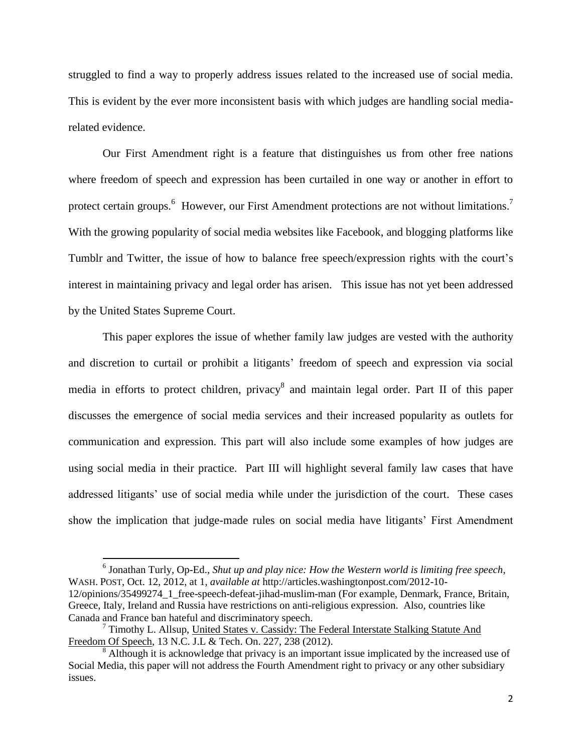struggled to find a way to properly address issues related to the increased use of social media. This is evident by the ever more inconsistent basis with which judges are handling social mediarelated evidence.

Our First Amendment right is a feature that distinguishes us from other free nations where freedom of speech and expression has been curtailed in one way or another in effort to protect certain groups.<sup>6</sup> However, our First Amendment protections are not without limitations.<sup>7</sup> With the growing popularity of social media websites like Facebook, and blogging platforms like Tumblr and Twitter, the issue of how to balance free speech/expression rights with the court's interest in maintaining privacy and legal order has arisen. This issue has not yet been addressed by the United States Supreme Court.

This paper explores the issue of whether family law judges are vested with the authority and discretion to curtail or prohibit a litigants' freedom of speech and expression via social media in efforts to protect children, privacy<sup>8</sup> and maintain legal order. Part II of this paper discusses the emergence of social media services and their increased popularity as outlets for communication and expression. This part will also include some examples of how judges are using social media in their practice. Part III will highlight several family law cases that have addressed litigants' use of social media while under the jurisdiction of the court. These cases show the implication that judge-made rules on social media have litigants' First Amendment

 $\overline{a}$ 

<sup>6</sup> Jonathan Turly, Op-Ed., *Shut up and play nice: How the Western world is limiting free speech*, WASH. POST, Oct. 12, 2012, at 1, *available at* [http://articles.washingtonpost.com/2012-10-](http://articles.washingtonpost.com/2012-10-12/opinions/35499274_1_free-speech-defeat-jihad-muslim-man) [12/opinions/35499274\\_1\\_free-speech-defeat-jihad-muslim-man](http://articles.washingtonpost.com/2012-10-12/opinions/35499274_1_free-speech-defeat-jihad-muslim-man) (For example, Denmark, France, Britain, Greece, Italy, Ireland and Russia have restrictions on anti-religious expression. Also, countries like Canada and France ban hateful and discriminatory speech.

 $7$  Timothy L. Allsup, United States v. Cassidy: The Federal Interstate Stalking Statute And Freedom Of Speech, 13 N.C. J.L & Tech. On. 227, 238 (2012).

<sup>&</sup>lt;sup>8</sup> Although it is acknowledge that privacy is an important issue implicated by the increased use of Social Media, this paper will not address the Fourth Amendment right to privacy or any other subsidiary issues.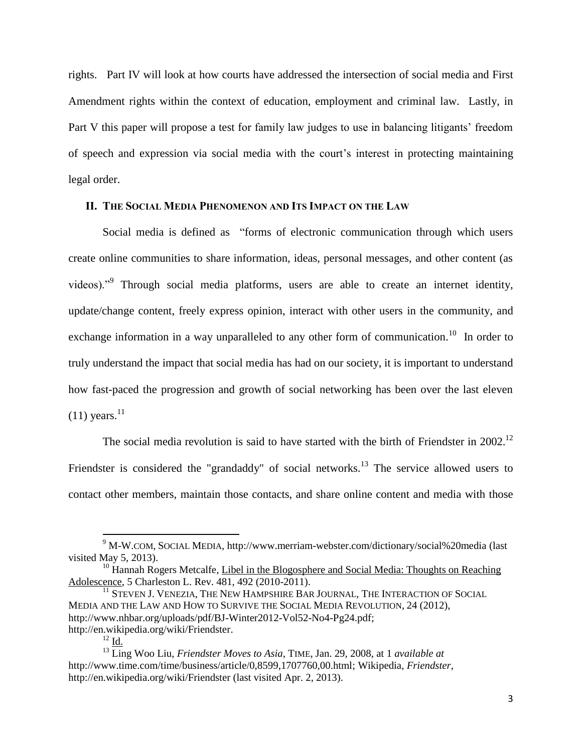rights. Part IV will look at how courts have addressed the intersection of social media and First Amendment rights within the context of education, employment and criminal law. Lastly, in Part V this paper will propose a test for family law judges to use in balancing litigants' freedom of speech and expression via social media with the court's interest in protecting maintaining legal order.

## **II. THE SOCIAL MEDIA PHENOMENON AND ITS IMPACT ON THE LAW**

Social media is defined as "forms of electronic communication through which users create online communities to share information, ideas, personal messages, and other content (as videos)."<sup>9</sup> Through social media platforms, users are able to create an internet identity, update/change content, freely express opinion, interact with other users in the community, and exchange information in a way unparalleled to any other form of communication.<sup>10</sup> In order to truly understand the impact that social media has had on our society, it is important to understand how fast-paced the progression and growth of social networking has been over the last eleven  $(11)$  years.<sup>11</sup>

The social media revolution is said to have started with the birth of Friendster in  $2002$ .<sup>12</sup> Friendster is considered the "grandaddy" of social networks.<sup>13</sup> The service allowed users to contact other members, maintain those contacts, and share online content and media with those

<sup>&</sup>lt;sup>9</sup> M-W.COM, SOCIAL MEDIA,<http://www.merriam-webster.com/dictionary/social%20media> (last visited May 5, 2013).

 $10$  Hannah Rogers Metcalfe, Libel in the Blogosphere and Social Media: Thoughts on Reaching Adolescence, 5 Charleston L. Rev. 481, 492 (2010-2011).

 $^\mathrm{11}$  Steven J. Venezia, The New Hampshire Bar Journal, The Interaction of Social MEDIA AND THE LAW AND HOW TO SURVIVE THE SOCIAL MEDIA REVOLUTION, 24 (2012), [http://www.nhbar.org/uploads/pdf/BJ-Winter2012-Vol52-No4-Pg24.pdf;](http://www.nhbar.org/uploads/pdf/BJ-Winter2012-Vol52-No4-Pg24.pdf) [http://en.wikipedia.org/wiki/Friendster.](http://en.wikipedia.org/wiki/Friendster)

 $^{12}$  Id.

<sup>13</sup> Ling Woo Liu, *Friendster Moves to Asia*, TIME, Jan. 29, 2008, at 1 *available at* [http://www.time.com/time/business/article/0,8599,1707760,00.html;](http://www.time.com/time/business/article/0,8599,1707760,00.html) Wikipedia, *Friendster*, <http://en.wikipedia.org/wiki/Friendster> (last visited Apr. 2, 2013).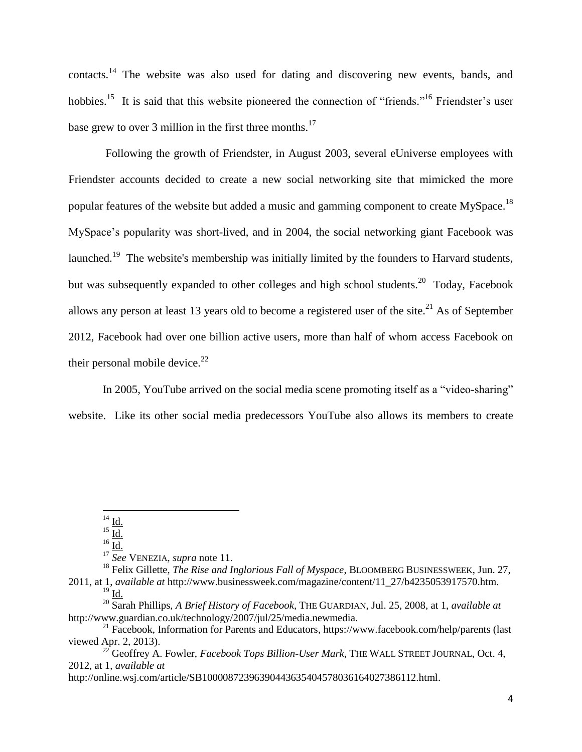contacts.<sup>14</sup> The website was also used for dating and discovering new events, bands, and hobbies.<sup>15</sup> It is said that this website pioneered the connection of "friends."<sup>16</sup> Friendster's user base grew to over 3 million in the first three months.<sup>17</sup>

Following the growth of Friendster, in August 2003, several eUniverse employees with Friendster accounts decided to create a new social networking site that mimicked the more popular features of the website but added a music and gamming component to create MySpace.<sup>18</sup> MySpace's popularity was short-lived, and in 2004, the social networking giant Facebook was launched.<sup>19</sup> The website's membership was initially limited by the founders to Harvard students, but was subsequently expanded to other colleges and high school students.<sup>20</sup> Today, Facebook allows any person at least 13 years old to become a registered user of the site.<sup>21</sup> As of September 2012, Facebook had over one billion active users, more than half of whom access Facebook on their personal mobile device. $^{22}$ 

In 2005, YouTube arrived on the social media scene promoting itself as a "video-sharing" website. Like its other social media predecessors YouTube also allows its members to create

 $^{14}$  Id.

 $^{15}$  Id.

 $16 \overline{Id.}$ 

<sup>17</sup> *See* VENEZIA, *supra* note 11.

<sup>&</sup>lt;sup>18</sup> Felix Gillette, *The Rise and Inglorious Fall of Myspace*, BLOOMBERG BUSINESSWEEK, Jun. 27, 2011, at 1, *available at* [http://www.businessweek.com/magazine/content/11\\_27/b4235053917570.htm.](http://www.businessweek.com/magazine/content/11_27/b4235053917570.htm)  $^{19}$  Id.

<sup>20</sup> Sarah Phillips, *A Brief History of Facebook*, THE GUARDIAN, Jul. 25, 2008, at 1, *[available at](file:///C:/Users/Frances%20Tapia%20Mateo/AppData/Local/Microsoft/Windows/Temporary%20Internet%20Files/Content.Outlook/W2L77W80/at%201,%20available%20at%20http:/www.guardian.co.uk/technology/2007/jul/25/media.newmedia)* [http://www.guardian.co.uk/technology/2007/jul/25/media.newmedia.](file:///C:/Users/Frances%20Tapia%20Mateo/AppData/Local/Microsoft/Windows/Temporary%20Internet%20Files/Content.Outlook/W2L77W80/at%201,%20available%20at%20http:/www.guardian.co.uk/technology/2007/jul/25/media.newmedia)

<sup>21</sup> Facebook, Information for Parents and Educators*,* <https://www.facebook.com/help/parents> (last viewed Apr. 2, 2013).

<sup>22</sup> Geoffrey A. Fowler, *Facebook Tops Billion-User Mark,* THE WALL STREET JOURNAL, Oct. 4, 2012, at 1, *available at*

[http://online.wsj.com/article/SB10000872396390443635404578036164027386112.html.](http://online.wsj.com/article/SB10000872396390443635404578036164027386112.html)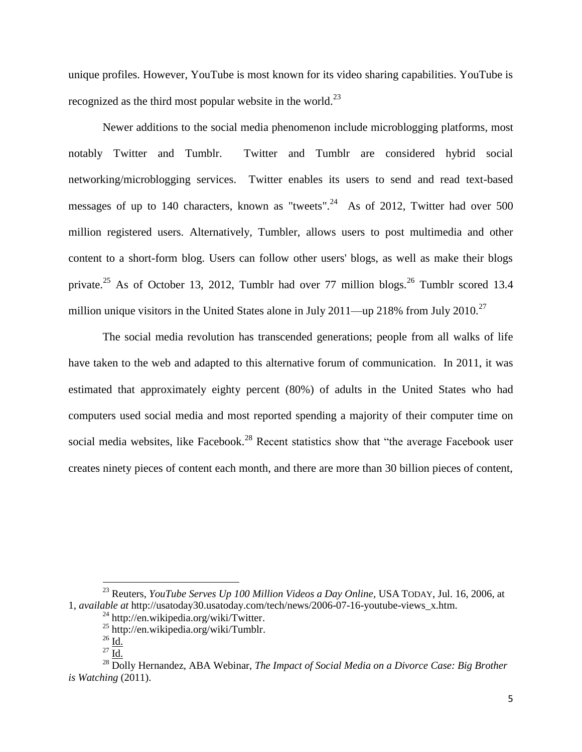unique profiles. However, YouTube is most known for its video sharing capabilities. YouTube is recognized as the third most popular website in the world. $^{23}$ 

Newer additions to the social media phenomenon include microblogging platforms, most notably Twitter and Tumblr. Twitter and Tumblr are considered hybrid social networking/microblogging services. Twitter enables its users to send and read text-based messages of up to 140 characters, known as "tweets".<sup>24</sup> As of 2012, Twitter had over 500 million registered users. Alternatively, Tumbler, allows users to post multimedia and other content to a short-form blog. Users can follow other users' blogs, as well as make their blogs private.<sup>25</sup> As of October 13, 2012, Tumblr had over 77 million blogs.<sup>26</sup> Tumblr scored 13.4 million unique visitors in the United States alone in July 2011—up 218% from July 2010.<sup>27</sup>

The social media revolution has transcended generations; people from all walks of life have taken to the web and adapted to this alternative forum of communication. In 2011, it was estimated that approximately eighty percent (80%) of adults in the United States who had computers used social media and most reported spending a majority of their computer time on social media websites, like Facebook.<sup>28</sup> Recent statistics show that "the average Facebook user creates ninety pieces of content each month, and there are more than 30 billion pieces of content,

<sup>23</sup> Reuters, *YouTube Serves Up 100 Million Videos a Day Online*, USA TODAY, Jul. 16, 2006, at 1, *available at* [http://usatoday30.usatoday.com/tech/news/2006-07-16-youtube-views\\_x.htm.](http://usatoday30.usatoday.com/tech/news/2006-07-16-youtube-views_x.htm)

 $^{24}$  [http://en.wikipedia.org/wiki/Twitter.](http://en.wikipedia.org/wiki/Twitter)

<sup>25</sup> [http://en.wikipedia.org/wiki/Tumblr.](http://en.wikipedia.org/wiki/Tumblr)

 $^{26}$  Id.

 $^{27}$   $\overline{\underline{\mathrm{Id}}}.$ 

<sup>&</sup>lt;sup>28</sup> Dolly Hernandez, ABA Webinar, *The Impact of Social Media on a Divorce Case: Big Brother is Watching* (2011).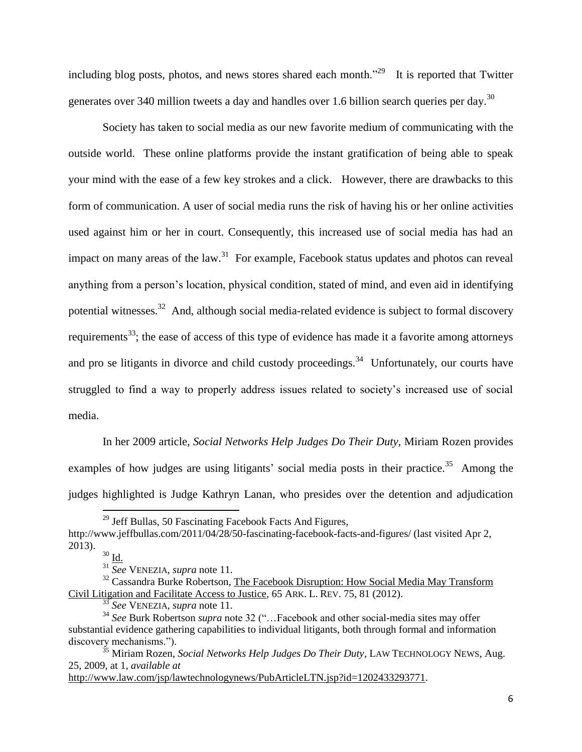including blog posts, photos, and news stores shared each month."<sup>29</sup> It is reported that Twitter generates over 340 million tweets a day and handles over 1.6 billion search queries per day.<sup>30</sup>

Society has taken to social media as our new favorite medium of communicating with the outside world. These online platforms provide the instant gratification of being able to speak your mind with the ease of a few key strokes and a click. However, there are drawbacks to this form of communication. A user of social media runs the risk of having his or her online activities used against him or her in court. Consequently, this increased use of social media has had an impact on many areas of the law.<sup>31</sup> For example, Facebook status updates and photos can reveal anything from a person's location, physical condition, stated of mind, and even aid in identifying potential witnesses.<sup>32</sup> And, although social media-related evidence is subject to formal discovery requirements<sup>33</sup>; the ease of access of this type of evidence has made it a favorite among attorneys and pro se litigants in divorce and child custody proceedings.<sup>34</sup> Unfortunately, our courts have struggled to find a way to properly address issues related to society's increased use of social media.

In her 2009 article, *Social Networks Help Judges Do Their Duty,* Miriam Rozen provides examples of how judges are using litigants' social media posts in their practice.<sup>35</sup> Among the judges highlighted is Judge Kathryn Lanan, who presides over the detention and adjudication

 $\overline{\phantom{a}}$ 

[http://www.law.com/jsp/lawtechnologynews/PubArticleLTN.jsp?id=1202433293771.](http://www.law.com/jsp/lawtechnologynews/PubArticleLTN.jsp?id=1202433293771)

 $^{29}$  Jeff Bullas, 50 Fascinating Facebook Facts And Figures,

<http://www.jeffbullas.com/2011/04/28/50-fascinating-facebook-facts-and-figures/> (last visited Apr 2, 2013).

 $30 \underline{Id}$ .

<sup>31</sup> *See* VENEZIA, *supra* note 11.

<sup>&</sup>lt;sup>32</sup> Cassandra Burke Robertson, The Facebook Disruption: How Social Media May Transform Civil Litigation and Facilitate Access to Justice*,* 65 ARK. L. REV. 75, 81 (2012).

<sup>33</sup> *See* VENEZIA, *supra* note 11.

<sup>34</sup> *See* Burk Robertson *supra* note 32 ("…Facebook and other social-media sites may offer substantial evidence gathering capabilities to individual litigants, both through formal and information discovery mechanisms.").

<sup>35</sup> Miriam Rozen, *Social Networks Help Judges Do Their Duty*, LAW TECHNOLOGY NEWS, Aug. 25, 2009, at 1, *available at*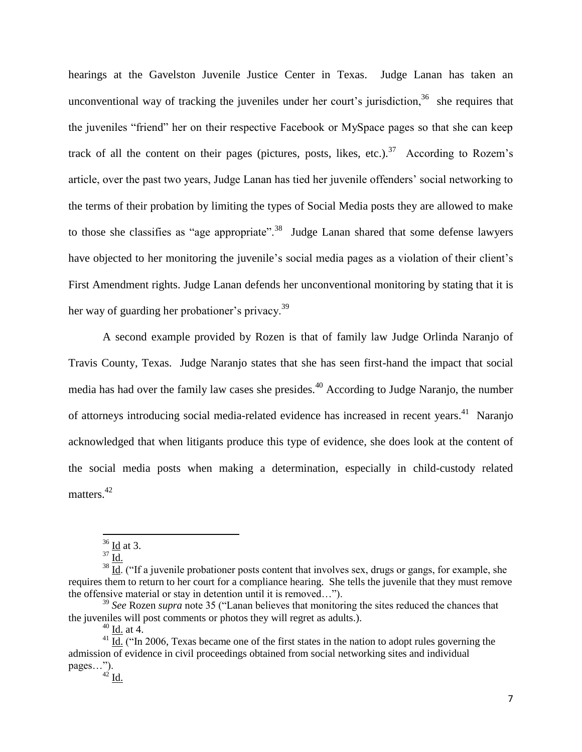hearings at the Gavelston Juvenile Justice Center in Texas. Judge Lanan has taken an unconventional way of tracking the juveniles under her court's jurisdiction,  $36$  she requires that the juveniles "friend" her on their respective Facebook or MySpace pages so that she can keep track of all the content on their pages (pictures, posts, likes, etc.).<sup>37</sup> According to Rozem's article, over the past two years, Judge Lanan has tied her juvenile offenders' social networking to the terms of their probation by limiting the types of Social Media posts they are allowed to make to those she classifies as "age appropriate".<sup>38</sup> Judge Lanan shared that some defense lawyers have objected to her monitoring the juvenile's social media pages as a violation of their client's First Amendment rights. Judge Lanan defends her unconventional monitoring by stating that it is her way of guarding her probationer's privacy.<sup>39</sup>

A second example provided by Rozen is that of family law Judge Orlinda Naranjo of Travis County, Texas. Judge Naranjo states that she has seen first-hand the impact that social media has had over the family law cases she presides.<sup>40</sup> According to Judge Naranjo, the number of attorneys introducing social media-related evidence has increased in recent years.<sup>41</sup> Naranjo acknowledged that when litigants produce this type of evidence, she does look at the content of the social media posts when making a determination, especially in child-custody related matters.<sup>42</sup>

 $36$  Id at 3.

 $37 \frac{25}{10}$ 

 $\frac{38 \text{ H}}{1 \text{ d}}$ . ("If a juvenile probationer posts content that involves sex, drugs or gangs, for example, she requires them to return to her court for a compliance hearing. She tells the juvenile that they must remove the offensive material or stay in detention until it is removed…").

<sup>39</sup> *See* Rozen *supra* note 35 ("Lanan believes that monitoring the sites reduced the chances that the juveniles will post comments or photos they will regret as adults.).

<sup>40</sup> Id. at 4.

 $41$  Id. ("In 2006, Texas became one of the first states in the nation to adopt rules governing the admission of evidence in civil proceedings obtained from social networking sites and individual pages…").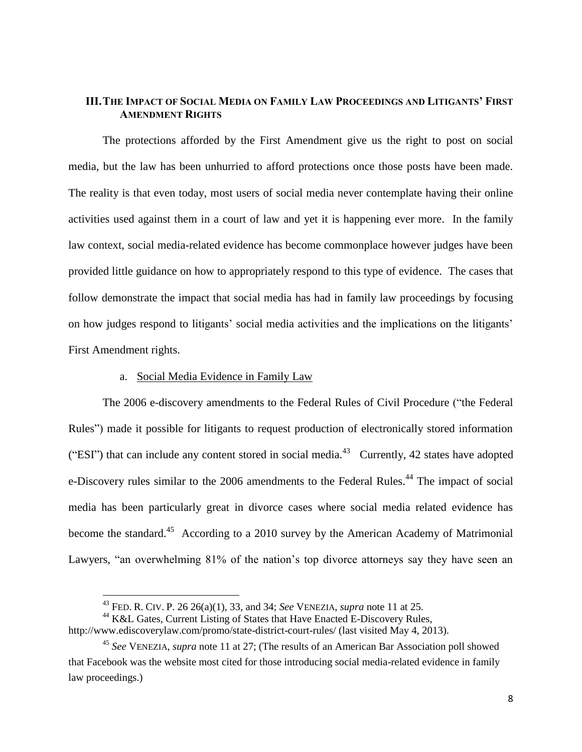# **III.THE IMPACT OF SOCIAL MEDIA ON FAMILY LAW PROCEEDINGS AND LITIGANTS' FIRST AMENDMENT RIGHTS**

The protections afforded by the First Amendment give us the right to post on social media, but the law has been unhurried to afford protections once those posts have been made. The reality is that even today, most users of social media never contemplate having their online activities used against them in a court of law and yet it is happening ever more. In the family law context, social media-related evidence has become commonplace however judges have been provided little guidance on how to appropriately respond to this type of evidence. The cases that follow demonstrate the impact that social media has had in family law proceedings by focusing on how judges respond to litigants' social media activities and the implications on the litigants' First Amendment rights.

# a. Social Media Evidence in Family Law

 $\overline{a}$ 

The 2006 e-discovery amendments to the Federal Rules of Civil Procedure ("the Federal Rules") made it possible for litigants to request production of electronically stored information ("ESI") that can include any content stored in social media.<sup>43</sup> Currently, 42 states have adopted e-Discovery rules similar to the 2006 amendments to the Federal Rules.<sup>44</sup> The impact of social media has been particularly great in divorce cases where social media related evidence has become the standard.<sup>45</sup> According to a 2010 survey by the American Academy of Matrimonial Lawyers, "an overwhelming 81% of the nation's top divorce attorneys say they have seen an

<sup>43</sup> FED. R. CIV. [P. 26](http://www.lexis.com/research/xlink?app=00075&view=full&searchtype=lt&search=USCS+Fed+Rules+Civ+Proc+R+26) 26(a)(1), 33, and 34; *See* VENEZIA, *supra* note 11 at 25.

<sup>&</sup>lt;sup>44</sup> K&L Gates, Current Listing of States that Have Enacted E-Discovery Rules,

<http://www.ediscoverylaw.com/promo/state-district-court-rules/> (last visited May 4, 2013).

<sup>45</sup> *See* VENEZIA, *supra* note 11 at 27; (The results of an American Bar Association poll showed that Facebook was the website most cited for those introducing social media-related evidence in family law proceedings.)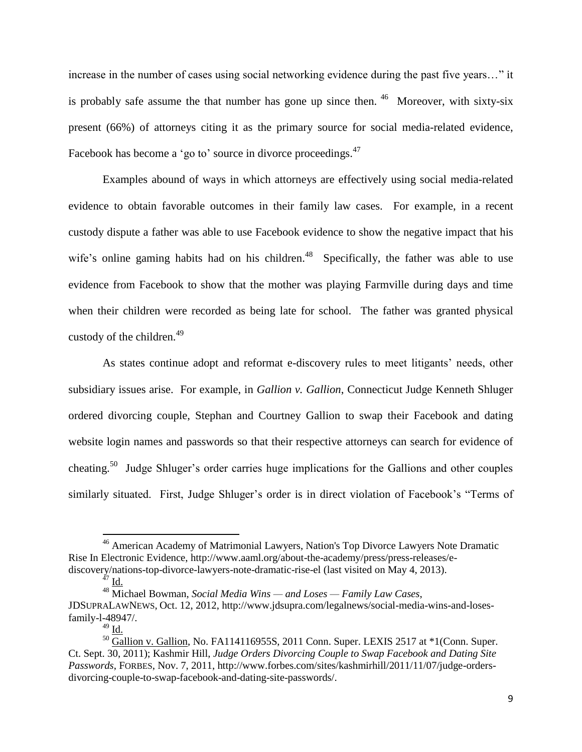increase in the number of cases using social networking evidence during the past five years…" it is probably safe assume the that number has gone up since then. <sup>46</sup> Moreover, with sixty-six present (66%) of attorneys citing it as the primary source for social media-related evidence, Facebook has become a 'go to' source in divorce proceedings.<sup>47</sup>

Examples abound of ways in which attorneys are effectively using social media-related evidence to obtain favorable outcomes in their family law cases. For example, in a recent custody dispute a father was able to use Facebook evidence to show the negative impact that his wife's online gaming habits had on his children.<sup>48</sup> Specifically, the father was able to use evidence from Facebook to show that the mother was playing Farmville during days and time when their children were recorded as being late for school. The father was granted physical custody of the children.<sup>49</sup>

As states continue adopt and reformat e-discovery rules to meet litigants' needs, other subsidiary issues arise. For example, in *Gallion v. Gallion*, Connecticut Judge Kenneth Shluger ordered divorcing couple, Stephan and Courtney Gallion to swap their Facebook and dating website login names and passwords so that their respective attorneys can search for evidence of cheating.<sup>50</sup> Judge Shluger's order carries huge implications for the Gallions and other couples similarly situated. First, Judge Shluger's order is in direct violation of Facebook's "Terms of

<sup>&</sup>lt;sup>46</sup> American Academy of Matrimonial Lawyers, Nation's Top Divorce Lawyers Note Dramatic Rise In Electronic Evidence, [http://www.aaml.org/about-the-academy/press/press-releases/e](http://www.aaml.org/about-the-academy/press/press-releases/e-discovery/nations-top-divorce-lawyers-note-dramatic-rise-el)[discovery/nations-top-divorce-lawyers-note-dramatic-rise-el](http://www.aaml.org/about-the-academy/press/press-releases/e-discovery/nations-top-divorce-lawyers-note-dramatic-rise-el) (last visited on May 4, 2013).

 $^{47}$  Id.

<sup>48</sup> Michael Bowman, *Social Media Wins — and Loses — Family Law Cases*,

JDSUPRALAWNEWS, Oct. 12, 2012, [http://www.jdsupra.com/legalnews/social-media-wins-and-loses](http://www.jdsupra.com/legalnews/social-media-wins-and-loses-family-l-48947/)[family-l-48947/.](http://www.jdsupra.com/legalnews/social-media-wins-and-loses-family-l-48947/)

 $49$  I<u>d.</u>

<sup>&</sup>lt;sup>50</sup> Gallion v. Gallion, No. FA114116955S, 2011 Conn. Super. LEXIS 2517 at \*1(Conn. Super. [Ct. Sept. 30, 2011\);](http://www.lexis.com/research/xlink?app=00075&view=full&searchtype=get&search=2011+Conn.+Super.+LEXIS+2517) Kashmir Hill, *Judge Orders Divorcing Couple to Swap Facebook and Dating Site Passwords*, FORBES, Nov. 7, 2011[, http://www.forbes.com/sites/kashmirhill/2011/11/07/judge-orders](http://www.forbes.com/sites/kashmirhill/2011/11/07/judge-orders-divorcing-couple-to-swap-facebook-and-dating-site-passwords/)[divorcing-couple-to-swap-facebook-and-dating-site-passwords/.](http://www.forbes.com/sites/kashmirhill/2011/11/07/judge-orders-divorcing-couple-to-swap-facebook-and-dating-site-passwords/)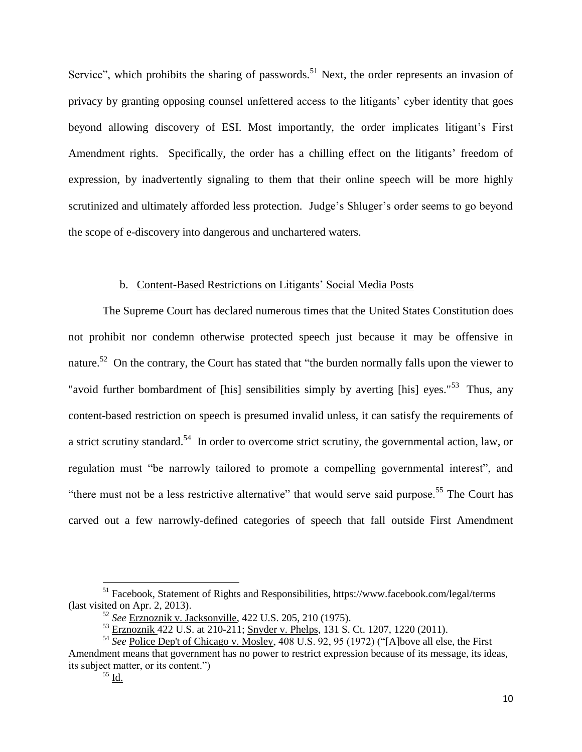Service", which prohibits the sharing of passwords.<sup>51</sup> Next, the order represents an invasion of privacy by granting opposing counsel unfettered access to the litigants' cyber identity that goes beyond allowing discovery of ESI. Most importantly, the order implicates litigant's First Amendment rights. Specifically, the order has a chilling effect on the litigants' freedom of expression, by inadvertently signaling to them that their online speech will be more highly scrutinized and ultimately afforded less protection. Judge's Shluger's order seems to go beyond the scope of e-discovery into dangerous and unchartered waters.

# b. Content-Based Restrictions on Litigants' Social Media Posts

The Supreme Court has declared numerous times that the United States Constitution does not prohibit nor condemn otherwise protected speech just because it may be offensive in nature.<sup>52</sup> On the contrary, the Court has stated that "the burden normally falls upon the viewer to "avoid further bombardment of [his] sensibilities simply by averting [his] eyes."<sup>53</sup> Thus, any content-based restriction on speech is presumed invalid unless, it can satisfy the requirements of a strict scrutiny standard.<sup>54</sup> In order to overcome strict scrutiny, the governmental action, law, or regulation must "be narrowly tailored to promote a compelling governmental interest", and "there must not be a less restrictive alternative" that would serve said purpose.<sup>55</sup> The Court has carved out a few narrowly-defined categories of speech that fall outside First Amendment

<sup>&</sup>lt;sup>51</sup> Facebook, Statement of Rights and Responsibilities,<https://www.facebook.com/legal/terms> (last visited on Apr. 2, 2013).

<sup>52</sup> *See* Erznoznik v. Jacksonville, 422 U.S. 205, 210 (1975).

<sup>&</sup>lt;sup>53</sup> Erznoznik 422 U.S. at 210-211; Snyder v. Phelps, 131 S. Ct. 1207, 1220 (2011).

<sup>54</sup> *See* Police Dep't of Chicago v. Mosley, 408 U.S. 92, 95 (1972) ("[A]bove all else, the First Amendment means that government has no power to restrict expression because of its message, its ideas, its subject matter, or its content.")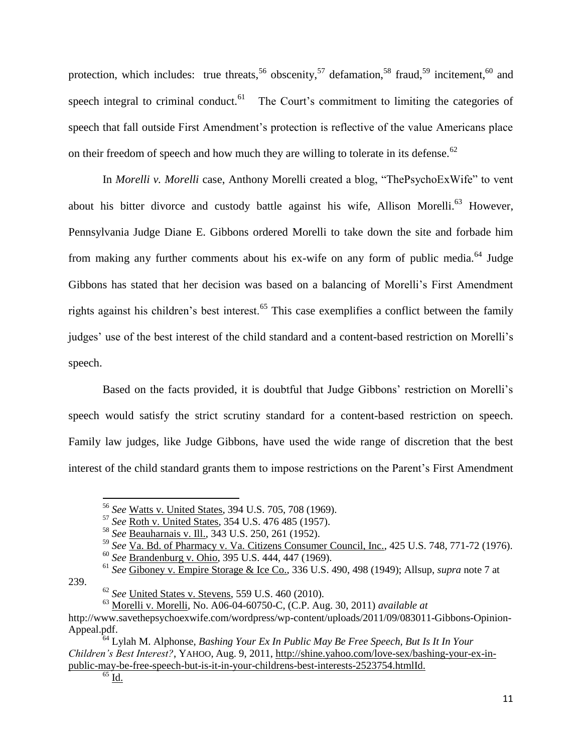protection, which includes: true threats,<sup>56</sup> obscenity,<sup>57</sup> defamation,<sup>58</sup> fraud,<sup>59</sup> incitement,<sup>60</sup> and speech integral to criminal conduct. $61$  The Court's commitment to limiting the categories of speech that fall outside First Amendment's protection is reflective of the value Americans place on their freedom of speech and how much they are willing to tolerate in its defense.<sup>62</sup>

In *Morelli v. Morelli* case, Anthony Morelli created a blog, "ThePsychoExWife" to vent about his bitter divorce and custody battle against his wife, Allison Morelli.<sup>63</sup> However, Pennsylvania Judge Diane E. Gibbons ordered Morelli to take down the site and forbade him from making any further comments about his ex-wife on any form of public media.<sup>64</sup> Judge Gibbons has stated that her decision was based on a balancing of Morelli's First Amendment rights against his children's best interest.<sup>65</sup> This case exemplifies a conflict between the family judges' use of the best interest of the child standard and a content-based restriction on Morelli's speech.

Based on the facts provided, it is doubtful that Judge Gibbons' restriction on Morelli's speech would satisfy the strict scrutiny standard for a content-based restriction on speech. Family law judges, like Judge Gibbons, have used the wide range of discretion that the best interest of the child standard grants them to impose restrictions on the Parent's First Amendment

239.

<sup>56</sup> *See* Watts v. United States, 394 U.S. 705, 708 (1969).

<sup>57</sup> *See* Roth v. United States, 354 U.S. 476 485 (1957).

<sup>58</sup> *See* Beauharnais v. Ill., 343 U.S. 250, 261 (1952).

<sup>59</sup> *See* Va. Bd. of Pharmacy v. Va. Citizens Consumer Council, Inc., 425 U.S. 748, 771-72 (1976).

<sup>60</sup> *See* Brandenburg v. Ohio, 395 U.S. 444, 447 (1969).

<sup>61</sup> *See* Giboney v. Empire Storage & Ice Co., 336 U.S. 490, 498 (1949); Allsup, *supra* note 7 at

<sup>62</sup> *See* United States v. Stevens, 559 U.S. 460 (2010).

<sup>63</sup> Morelli v. Morelli, No. A06-04-60750-C, (C.P. Aug. 30, 2011) *available at* [http://www.savethepsychoexwife.com/wordpress/wp-content/uploads/2011/09/083011-Gibbons-Opinion-](http://www.savethepsychoexwife.com/wordpress/wp-content/uploads/2011/09/083011-Gibbons-Opinion-Appeal.pdf)[Appeal.pdf.](http://www.savethepsychoexwife.com/wordpress/wp-content/uploads/2011/09/083011-Gibbons-Opinion-Appeal.pdf)

<sup>64</sup> Lylah M. Alphonse, *Bashing Your Ex In Public May Be Free Speech, But Is It In Your Children's Best Interest?*, YAHOO, Aug. 9, 2011, [http://shine.yahoo.com/love-sex/bashing-your-ex-in](http://shine.yahoo.com/love-sex/bashing-your-ex-in-public-may-be-free-speech-but-is-it-in-your-childrens-best-interests-2523754.html)[public-may-be-free-speech-but-is-it-in-your-childrens-best-interests-2523754.htmlI](http://shine.yahoo.com/love-sex/bashing-your-ex-in-public-may-be-free-speech-but-is-it-in-your-childrens-best-interests-2523754.html)d.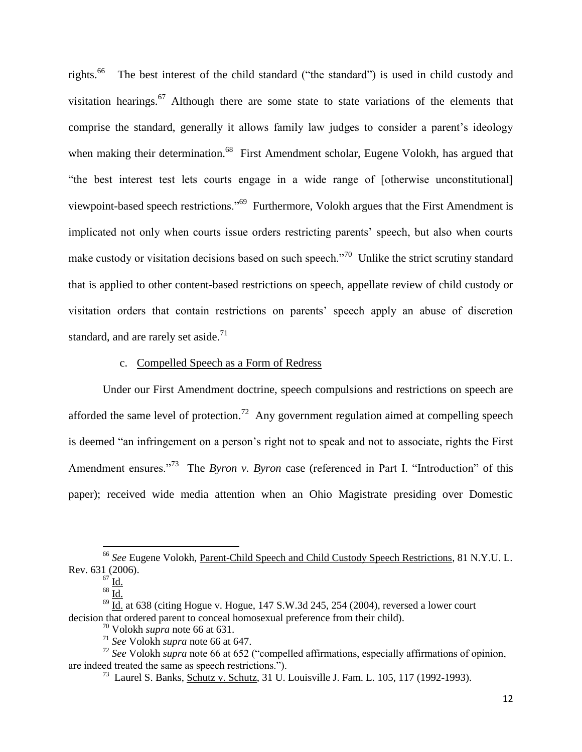rights. 66 The best interest of the child standard ("the standard") is used in child custody and visitation hearings.<sup>67</sup> Although there are some state to state variations of the elements that comprise the standard, generally it allows family law judges to consider a parent's ideology when making their determination.<sup>68</sup> First Amendment scholar, Eugene Volokh, has argued that "the best interest test lets courts engage in a wide range of [otherwise unconstitutional] viewpoint-based speech restrictions."<sup>69</sup> Furthermore, Volokh argues that the First Amendment is implicated not only when courts issue orders restricting parents' speech, but also when courts make custody or visitation decisions based on such speech.<sup> $n^{70}$ </sup> Unlike the strict scrutiny standard that is applied to other content-based restrictions on speech, appellate review of child custody or visitation orders that contain restrictions on parents' speech apply an abuse of discretion standard, and are rarely set aside.<sup>71</sup>

## c. Compelled Speech as a Form of Redress

Under our First Amendment doctrine, speech compulsions and restrictions on speech are afforded the same level of protection.<sup>72</sup> Any government regulation aimed at compelling speech is deemed "an infringement on a person's right not to speak and not to associate, rights the First Amendment ensures.<sup>"73</sup> The *Byron v. Byron* case (referenced in Part I. "Introduction" of this paper); received wide media attention when an Ohio Magistrate presiding over Domestic

<sup>66</sup> *See* Eugene Volokh, Parent-Child Speech and Child Custody Speech Restrictions, 81 N.Y.U. L. Rev. 631 (2006).

 $67$  Id.

 $68$  Id.

 $\overline{69}$  Id. at 638 (citing Hogue v. Hogue, 147 S.W.3d 245, 254 (2004), reversed a lower court decision that ordered parent to conceal homosexual preference from their child).

<sup>70</sup> Volokh *supra* note 66 at 631.

<sup>71</sup> *See* Volokh *supra* note 66 at 647.

<sup>72</sup> *See* Volokh *supra* note 66 at 652 ("compelled affirmations, especially affirmations of opinion, are indeed treated the same as speech restrictions.").

<sup>&</sup>lt;sup>73</sup> Laurel S. Banks, Schutz v. Schutz, 31 U. Louisville J. Fam. L. 105, 117 (1992-1993).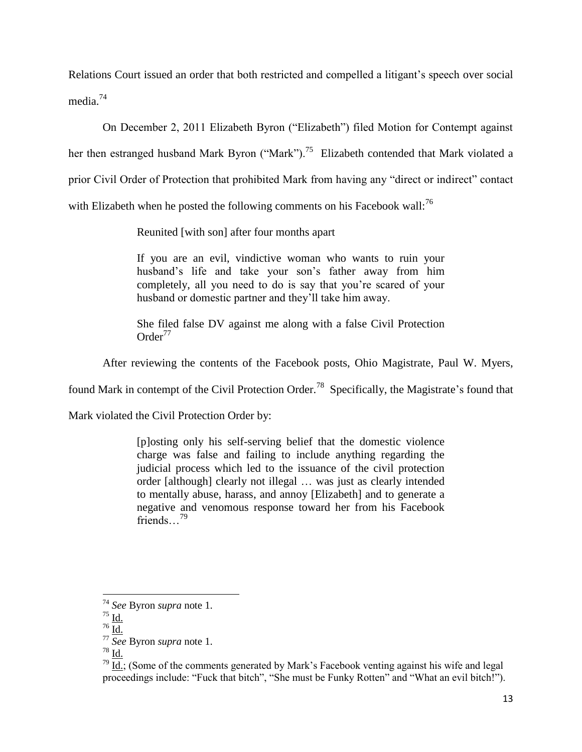Relations Court issued an order that both restricted and compelled a litigant's speech over social media. 74

On December 2, 2011 Elizabeth Byron ("Elizabeth") filed Motion for Contempt against her then estranged husband Mark Byron ("Mark").<sup>75</sup> Elizabeth contended that Mark violated a prior Civil Order of Protection that prohibited Mark from having any "direct or indirect" contact with Elizabeth when he posted the following comments on his Facebook wall:<sup>76</sup>

Reunited [with son] after four months apart

If you are an evil, vindictive woman who wants to ruin your husband's life and take your son's father away from him completely, all you need to do is say that you're scared of your husband or domestic partner and they'll take him away.

She filed false DV against me along with a false Civil Protection  $Order<sup>77</sup>$ 

After reviewing the contents of the Facebook posts, Ohio Magistrate, Paul W. Myers,

found Mark in contempt of the Civil Protection Order.<sup>78</sup> Specifically, the Magistrate's found that

Mark violated the Civil Protection Order by:

[p]osting only his self-serving belief that the domestic violence charge was false and failing to include anything regarding the judicial process which led to the issuance of the civil protection order [although] clearly not illegal … was just as clearly intended to mentally abuse, harass, and annoy [Elizabeth] and to generate a negative and venomous response toward her from his Facebook friends...<sup>79</sup>

 $\overline{a}$ 

<sup>74</sup> *See* Byron *supra* note 1.

<sup>75</sup> Id.

 $^{76}$  Id.

<sup>77</sup> *See* Byron *supra* note 1.

 $^{78}$  Id.

 $\overline{79}$  Id.; (Some of the comments generated by Mark's Facebook venting against his wife and legal proceedings include: "Fuck that bitch", "She must be Funky Rotten" and "What an evil bitch!").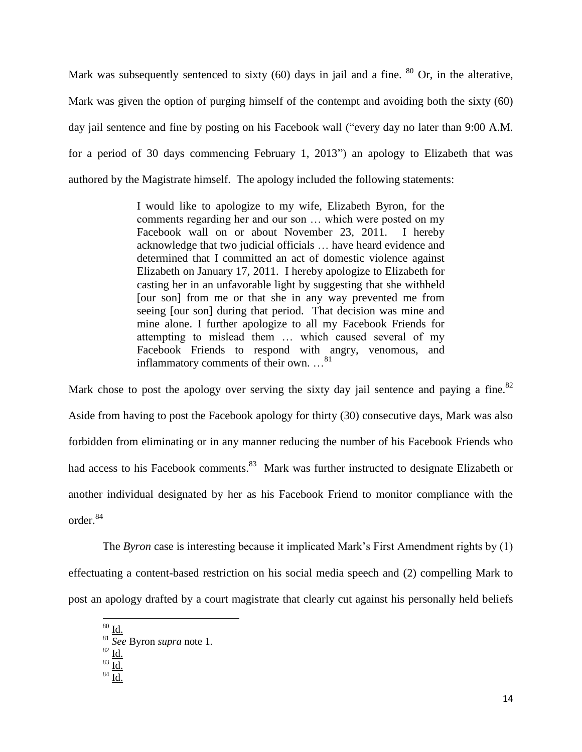Mark was subsequently sentenced to sixty  $(60)$  days in jail and a fine.  $80$  Or, in the alterative, Mark was given the option of purging himself of the contempt and avoiding both the sixty (60) day jail sentence and fine by posting on his Facebook wall ("every day no later than 9:00 A.M. for a period of 30 days commencing February 1, 2013") an apology to Elizabeth that was authored by the Magistrate himself. The apology included the following statements:

> I would like to apologize to my wife, Elizabeth Byron, for the comments regarding her and our son … which were posted on my Facebook wall on or about November 23, 2011. I hereby acknowledge that two judicial officials … have heard evidence and determined that I committed an act of domestic violence against Elizabeth on January 17, 2011. I hereby apologize to Elizabeth for casting her in an unfavorable light by suggesting that she withheld [our son] from me or that she in any way prevented me from seeing [our son] during that period. That decision was mine and mine alone. I further apologize to all my Facebook Friends for attempting to mislead them … which caused several of my Facebook Friends to respond with angry, venomous, and inflammatory comments of their own. ...<sup>81</sup>

Mark chose to post the apology over serving the sixty day jail sentence and paying a fine.  $82$ Aside from having to post the Facebook apology for thirty (30) consecutive days, Mark was also forbidden from eliminating or in any manner reducing the number of his Facebook Friends who had access to his Facebook comments.<sup>83</sup> Mark was further instructed to designate Elizabeth or another individual designated by her as his Facebook Friend to monitor compliance with the order.<sup>84</sup>

The *Byron* case is interesting because it implicated Mark's First Amendment rights by (1) effectuating a content-based restriction on his social media speech and (2) compelling Mark to post an apology drafted by a court magistrate that clearly cut against his personally held beliefs

 $80 \underline{\mathrm{Id}}$ .

<sup>81</sup> *See* Byron *supra* note 1.

 $82 \underline{Id}$ .

 $83 \underline{\overline{\text{Id.}}}$ 

 $84 \overline{Id}$ .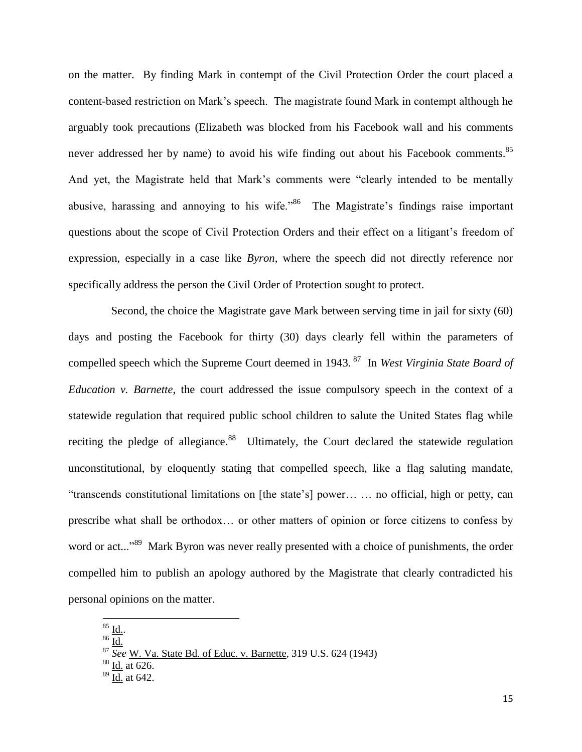on the matter. By finding Mark in contempt of the Civil Protection Order the court placed a content-based restriction on Mark's speech. The magistrate found Mark in contempt although he arguably took precautions (Elizabeth was blocked from his Facebook wall and his comments never addressed her by name) to avoid his wife finding out about his Facebook comments.<sup>85</sup> And yet, the Magistrate held that Mark's comments were "clearly intended to be mentally abusive, harassing and annoying to his wife."<sup>86</sup> The Magistrate's findings raise important questions about the scope of Civil Protection Orders and their effect on a litigant's freedom of expression, especially in a case like *Byron*, where the speech did not directly reference nor specifically address the person the Civil Order of Protection sought to protect.

 Second, the choice the Magistrate gave Mark between serving time in jail for sixty (60) days and posting the Facebook for thirty (30) days clearly fell within the parameters of compelled speech which the Supreme Court deemed in 1943. <sup>87</sup> In *West Virginia State Board of Education v. Barnette*, the court addressed the issue compulsory speech in the context of a statewide regulation that required public school children to salute the United States flag while reciting the pledge of allegiance.<sup>88</sup> Ultimately, the Court declared the statewide regulation unconstitutional, by eloquently stating that compelled speech, like a flag saluting mandate, "transcends constitutional limitations on [the state's] power… … no official, high or petty, can prescribe what shall be orthodox… or other matters of opinion or force citizens to confess by word or act..."<sup>89</sup> Mark Byron was never really presented with a choice of punishments, the order compelled him to publish an apology authored by the Magistrate that clearly contradicted his personal opinions on the matter.

 $^{85}$  Id..

 $86 \overline{Id.}$ 

<sup>87</sup> *See* [W. Va. State Bd. of Educ. v. Barnette, 319 U.S. 624 \(1943\)](http://www.lexis.com/research/xlink?app=00075&view=full&searchtype=le&search=319+U.S.+624%2520at%2520641)

 $88$  Id. [at 626.](http://www.lexis.com/research/xlink?app=00075&view=full&searchtype=le&search=319+U.S.+624%2520at%2520626)

<sup>89</sup> Id. at 642.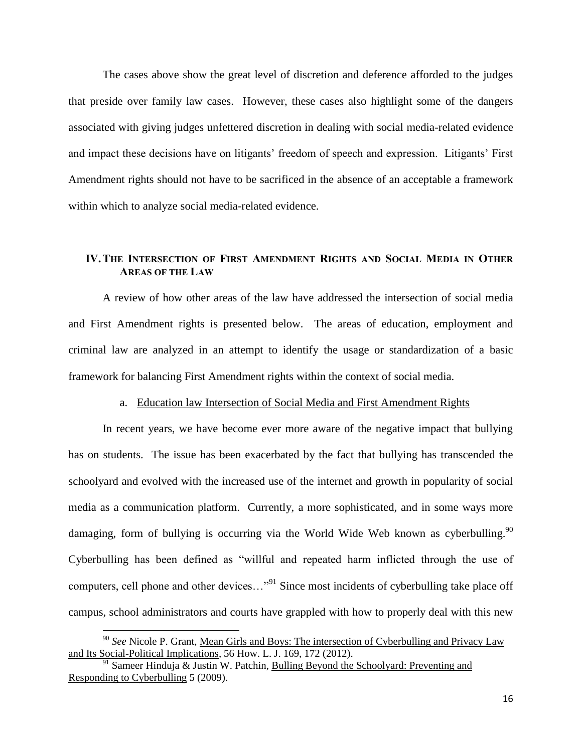The cases above show the great level of discretion and deference afforded to the judges that preside over family law cases. However, these cases also highlight some of the dangers associated with giving judges unfettered discretion in dealing with social media-related evidence and impact these decisions have on litigants' freedom of speech and expression. Litigants' First Amendment rights should not have to be sacrificed in the absence of an acceptable a framework within which to analyze social media-related evidence.

# **IV.THE INTERSECTION OF FIRST AMENDMENT RIGHTS AND SOCIAL MEDIA IN OTHER AREAS OF THE LAW**

A review of how other areas of the law have addressed the intersection of social media and First Amendment rights is presented below. The areas of education, employment and criminal law are analyzed in an attempt to identify the usage or standardization of a basic framework for balancing First Amendment rights within the context of social media.

### a. Education law Intersection of Social Media and First Amendment Rights

In recent years, we have become ever more aware of the negative impact that bullying has on students. The issue has been exacerbated by the fact that bullying has transcended the schoolyard and evolved with the increased use of the internet and growth in popularity of social media as a communication platform. Currently, a more sophisticated, and in some ways more damaging, form of bullying is occurring via the World Wide Web known as cyberbulling.<sup>90</sup> Cyberbulling has been defined as "willful and repeated harm inflicted through the use of computers, cell phone and other devices..."<sup>91</sup> Since most incidents of cyberbulling take place off campus, school administrators and courts have grappled with how to properly deal with this new

<sup>90</sup> *See* Nicole P. Grant, Mean Girls and Boys: The intersection of Cyberbulling and Privacy Law and Its Social-Political Implications, 56 How. L. J. 169, 172 (2012).

 $91$  Sameer Hinduja & Justin W. Patchin, Bulling Beyond the Schoolyard: Preventing and Responding to Cyberbulling 5 (2009).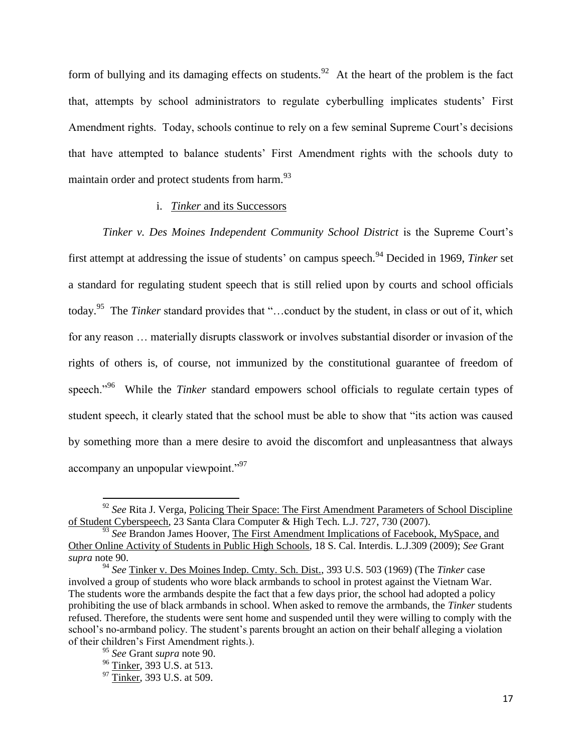form of bullying and its damaging effects on students.<sup>92</sup> At the heart of the problem is the fact that, attempts by school administrators to regulate cyberbulling implicates students' First Amendment rights. Today, schools continue to rely on a few seminal Supreme Court's decisions that have attempted to balance students' First Amendment rights with the schools duty to maintain order and protect students from harm.<sup>93</sup>

## i. *Tinker* and its Successors

*Tinker v. Des Moines Independent Community School District* is the Supreme Court's first attempt at addressing the issue of students' on campus speech.<sup>94</sup> Decided in 1969, *Tinker* set a standard for regulating student speech that is still relied upon by courts and school officials today.<sup>95</sup> The *Tinker* standard provides that "…conduct by the student, in class or out of it, which for any reason … materially disrupts classwork or involves substantial disorder or invasion of the rights of others is, of course, not immunized by the constitutional guarantee of freedom of speech."<sup>96</sup> While the *Tinker* standard empowers school officials to regulate certain types of student speech, it clearly stated that the school must be able to show that "its action was caused by something more than a mere desire to avoid the discomfort and unpleasantness that always accompany an unpopular viewpoint."<sup>97</sup>

<sup>&</sup>lt;sup>92</sup> See Rita J. Verga, Policing Their Space: The First Amendment Parameters of School Discipline of Student Cyberspeech, 23 Santa Clara Computer & High Tech. L.J. 727, 730 (2007).

<sup>&</sup>lt;sup>93</sup> See Brandon James Hoover, The First Amendment Implications of Facebook, MySpace, and Other Online Activity of Students in Public High Schools, 18 S. Cal. Interdis. L.J.309 (2009); *See* Grant *supra* note 90.

<sup>94</sup> *See* Tinker v. Des Moines Indep. Cmty. Sch. Dist., 393 U.S. 503 (1969) (The *Tinker* case involved a group of students who wore black armbands to school in protest against the Vietnam War. The students wore the armbands despite the fact that a few days prior, the school had adopted a policy prohibiting the use of black armbands in school. When asked to remove the armbands, the *Tinker* students refused. Therefore, the students were sent home and suspended until they were willing to comply with the school's no-armband policy. The student's parents brought an action on their behalf alleging a violation of their children's First Amendment rights.).

<sup>95</sup> *See* Grant *supra* note 90.

<sup>&</sup>lt;sup>96</sup> Tinker, 393 U.S. at 513.

<sup>&</sup>lt;sup>97</sup> Tinker, 393 U.S. at 509.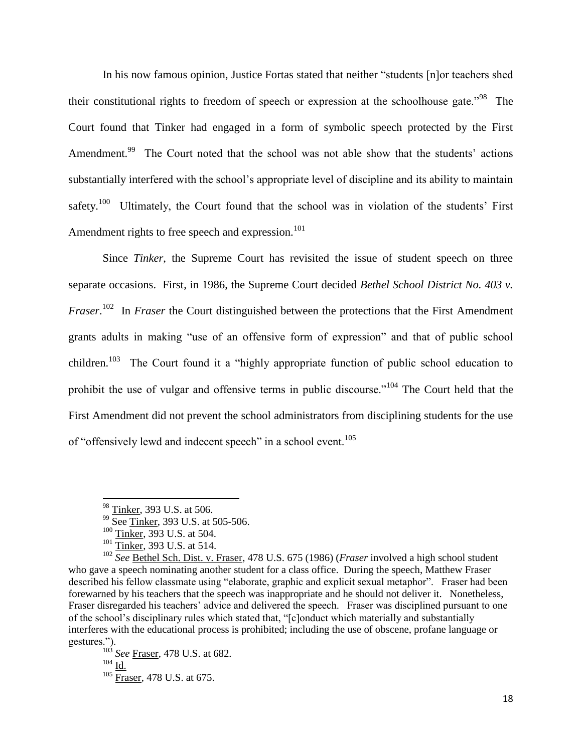In his now famous opinion, Justice Fortas stated that neither "students [n]or teachers shed their constitutional rights to freedom of speech or expression at the schoolhouse gate.<sup>"98</sup> The Court found that Tinker had engaged in a form of symbolic speech protected by the First Amendment.<sup>99</sup> The Court noted that the school was not able show that the students' actions substantially interfered with the school's appropriate level of discipline and its ability to maintain safety.<sup>100</sup> Ultimately, the Court found that the school was in violation of the students' First Amendment rights to free speech and expression. $101$ 

Since *Tinker*, the Supreme Court has revisited the issue of student speech on three separate occasions. First, in 1986, the Supreme Court decided *Bethel School District No. 403 v. Fraser*. 102 In *Fraser* the Court distinguished between the protections that the First Amendment grants adults in making "use of an offensive form of expression" and that of public school children.<sup>103</sup> The Court found it a "highly appropriate function of public school education to prohibit the use of vulgar and offensive terms in public discourse."<sup>104</sup> The Court held that the First Amendment did not prevent the school administrators from disciplining students for the use of "offensively lewd and indecent speech" in a school event.<sup>105</sup>

l

<sup>103</sup> *See* Fraser, 478 U.S. at 682.  $104$   $\underline{\text{Id}}$ . <sup>105</sup> Fraser, 478 U.S. at 675.

<sup>&</sup>lt;sup>98</sup> Tinker, 393 U.S. at 506.

<sup>&</sup>lt;sup>99</sup> See Tinker, 393 U.S. at 505-506.

<sup>100</sup> Tinker, 393 U.S. at 504.

 $101 \overline{\text{Tinker}}$ , 393 U.S. at 514.

<sup>102</sup> *See* Bethel Sch. Dist. v. Fraser, 478 U.S. 675 (1986) (*Fraser* involved a high school student who gave a speech nominating another student for a class office. During the speech, Matthew Fraser described his fellow classmate using "elaborate, graphic and explicit sexual metaphor". Fraser had been forewarned by his teachers that the speech was inappropriate and he should not deliver it. Nonetheless, Fraser disregarded his teachers' advice and delivered the speech. Fraser was disciplined pursuant to one of the school's disciplinary rules which stated that, "[c]onduct which materially and substantially interferes with the educational process is prohibited; including the use of obscene, profane language or gestures.").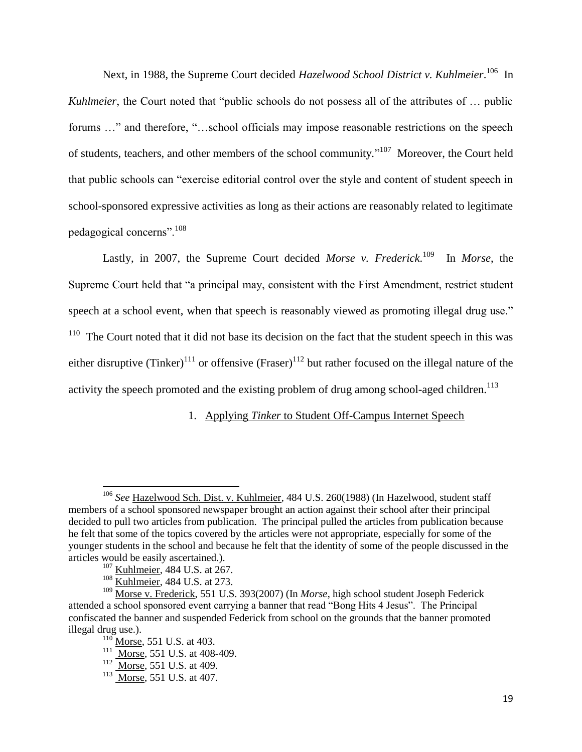Next, in 1988, the Supreme Court decided *Hazelwood School District v. Kuhlmeier*.<sup>106</sup> In *Kuhlmeier*, the Court noted that "public schools do not possess all of the attributes of ... public forums ..." and therefore, "...school officials may impose reasonable restrictions on the speech of students, teachers, and other members of the school community."<sup>107</sup> Moreover, the Court held that public schools can "exercise editorial control over the style and content of student speech in school-sponsored expressive activities as long as their actions are reasonably related to legitimate pedagogical concerns".<sup>108</sup>

Lastly, in 2007, the Supreme Court decided *Morse v. Frederick*.<sup>109</sup> In *Morse*, the Supreme Court held that "a principal may, consistent with the First Amendment, restrict student speech at a school event, when that speech is reasonably viewed as promoting illegal drug use."  $110$  The Court noted that it did not base its decision on the fact that the student speech in this was either disruptive (Tinker)<sup>111</sup> or offensive (Fraser)<sup>112</sup> but rather focused on the illegal nature of the activity the speech promoted and the existing problem of drug among school-aged children.<sup>113</sup>

1. Applying *Tinker* to Student Off-Campus Internet Speech

<sup>106</sup> *See* Hazelwood Sch. Dist. v. Kuhlmeier, 484 U.S. 260(1988) (In Hazelwood, student staff members of a school sponsored newspaper brought an action against their school after their principal decided to pull two articles from publication. The principal pulled the articles from publication because he felt that some of the topics covered by the articles were not appropriate, especially for some of the younger students in the school and because he felt that the identity of some of the people discussed in the articles would be easily ascertained.).

<sup>&</sup>lt;sup>107</sup> Kuhlmeier, 484 U.S. at 267.

<sup>&</sup>lt;sup>108</sup> Kuhlmeier, 484 U.S. at 273.

<sup>109</sup> Morse v. Frederick, 551 U.S. 393(2007) (In *Morse*, high school student Joseph Federick attended a school sponsored event carrying a banner that read "Bong Hits 4 Jesus". The Principal confiscated the banner and suspended Federick from school on the grounds that the banner promoted illegal drug use.).

 $^{110}$  Morse, 551 U.S. at 403.

 $\frac{111}{\text{Morse}}$ , 551 U.S. at 408-409.

 $\frac{112}{\text{Morse}}$ , 551 U.S. at 409.

<sup>&</sup>lt;sup>113</sup> Morse, 551 U.S. at 407.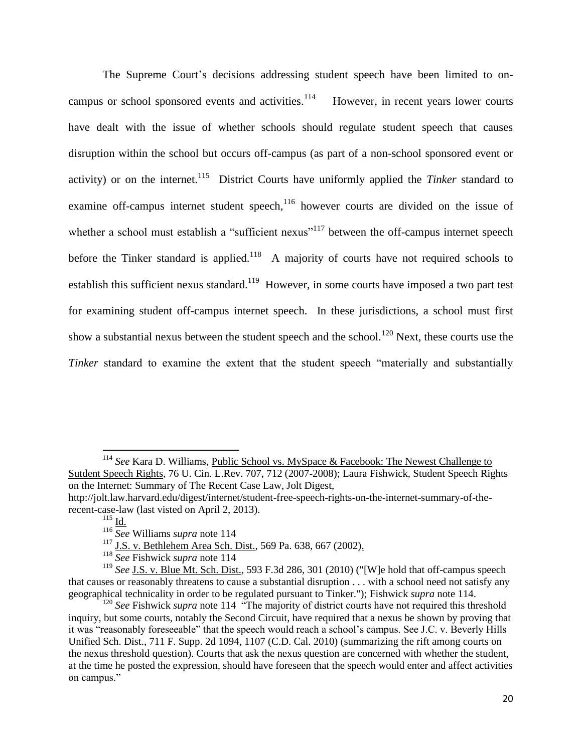The Supreme Court's decisions addressing student speech have been limited to oncampus or school sponsored events and activities.<sup>114</sup> However, in recent years lower courts have dealt with the issue of whether schools should regulate student speech that causes disruption within the school but occurs off-campus (as part of a non-school sponsored event or activity) or on the internet.<sup>115</sup> District Courts have uniformly applied the *Tinker* standard to examine off-campus internet student speech, $116$  however courts are divided on the issue of whether a school must establish a "sufficient nexus"<sup>117</sup> between the off-campus internet speech before the Tinker standard is applied.<sup>118</sup> A majority of courts have not required schools to establish this sufficient nexus standard.<sup>119</sup> However, in some courts have imposed a two part test for examining student off-campus internet speech. In these jurisdictions, a school must first show a substantial nexus between the student speech and the school.<sup>120</sup> Next, these courts use the *Tinker* standard to examine the extent that the student speech "materially and substantially

<sup>114</sup> *See* Kara D. Williams, Public School vs. MySpace & Facebook: The Newest Challenge to Sutdent Speech Rights, 76 U. Cin. L.Rev. 707, 712 (2007-2008); Laura Fishwick, Student Speech Rights on the Internet: Summary of The Recent Case Law, Jolt Digest, [http://jolt.law.harvard.edu/digest/internet/student-free-speech-rights-on-the-internet-summary-of-the](http://jolt.law.harvard.edu/digest/internet/student-free-speech-rights-on-the-internet-summary-of-the-recent-case-law)[recent-case-law](http://jolt.law.harvard.edu/digest/internet/student-free-speech-rights-on-the-internet-summary-of-the-recent-case-law) (last visted on April 2, 2013).

 $115$  Id.

<sup>116</sup> *See* Williams *supra* note 114

<sup>117</sup> [J.S. v. Bethlehem Area Sch. Dist., 569 Pa. 638, 667 \(2002\).](http://www.lexis.com/research/xlink?app=00075&view=full&searchtype=le&search=569+Pa.+638%2520at%2520667)

<sup>118</sup> *See* Fishwick *supra* note 114

<sup>&</sup>lt;sup>119</sup> See <u>J.S. v. Blue Mt. Sch. Dist.</u>, 593 F.3d 286, 301 (2010) ("[W]e hold that off-campus speech that causes or reasonably threatens to cause a substantial disruption . . . with a school need not satisfy any geographical technicality in order to be regulated pursuant to Tinker."); Fishwick *supra* note 114.

<sup>&</sup>lt;sup>120</sup> *See* Fishwick *supra* note 114 "The majority of district courts have not required this threshold inquiry, but some courts, notably the Second Circuit, have required that a nexus be shown by proving that it was "reasonably foreseeable" that the speech would reach a school's campus. See J.C. v. Beverly Hills Unified Sch. Dist., 711 F. Supp. 2d 1094, 1107 (C.D. Cal. 2010) (summarizing the rift among courts on the nexus threshold question). Courts that ask the nexus question are concerned with whether the student, at the time he posted the expression, should have foreseen that the speech would enter and affect activities on campus."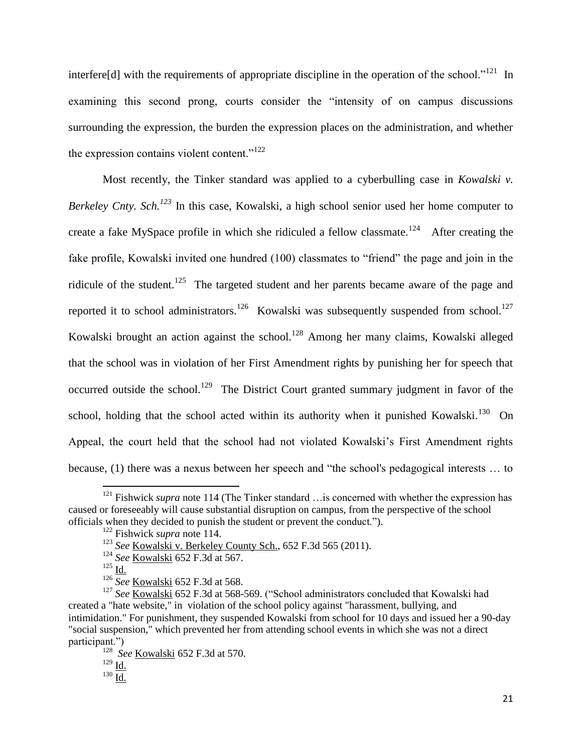interfere[d] with the requirements of appropriate discipline in the operation of the school."<sup>121</sup> In examining this second prong, courts consider the "intensity of on campus discussions surrounding the expression, the burden the expression places on the administration, and whether the expression contains violent content." $122$ 

Most recently, the Tinker standard was applied to a cyberbulling case in *Kowalski v. Berkeley Cnty. Sch.<sup>123</sup>* In this case, Kowalski, a high school senior used her home computer to create a fake MySpace profile in which she ridiculed a fellow classmate.<sup>124</sup> After creating the fake profile, Kowalski invited one hundred (100) classmates to "friend" the page and join in the ridicule of the student.<sup>125</sup> The targeted student and her parents became aware of the page and reported it to school administrators.<sup>126</sup> Kowalski was subsequently suspended from school.<sup>127</sup> Kowalski brought an action against the school.<sup>128</sup> Among her many claims, Kowalski alleged that the school was in violation of her First Amendment rights by punishing her for speech that occurred outside the school.<sup>129</sup> The District Court granted summary judgment in favor of the school, holding that the school acted within its authority when it punished Kowalski.<sup>130</sup> On Appeal, the court held that the school had not violated Kowalski's First Amendment rights because, (1) there was a nexus between her speech and "the school's pedagogical interests … to

- <sup>124</sup> *See* Kowalski 652 F.3d at 567.
- $^{125}$  Id.

 $\overline{\phantom{a}}$ <sup>121</sup> Fishwick *supra* note 114 (The Tinker standard ... is concerned with whether the expression has caused or foreseeably will cause substantial disruption on campus, from the perspective of the school officials when they decided to punish the student or prevent the conduct.").

<sup>122</sup> Fishwick *supra* note 114.

<sup>123</sup> *See* [Kowalski v. Berkeley County Sch., 652 F.3d 565 \(2011\).](http://www.lexis.com/research/xlink?app=00075&view=full&searchtype=le&search=652+F.3d+565)

<sup>&</sup>lt;sup>126</sup> *See* <u>Kowalski</u> 652 F.3d at 568.

<sup>&</sup>lt;sup>127</sup> See <u>Kowalski</u> 652 F.3d at 568-569. ("School administrators concluded that Kowalski had created a "hate website," in violation of the school policy against "harassment, bullying, and intimidation." For punishment, they suspended Kowalski from school for 10 days and issued her a 90-day "social suspension," which prevented her from attending school events in which she was not a direct participant.")

<sup>128</sup> *See* Kowalski 652 F.3d at 570.

 $129 \underline{\text{Id.}}$  $129 \underline{\text{Id.}}$  $129 \underline{\text{Id.}}$ 

 $^{130}$   $\underline{\underline{\text{Id.}}}$  $\underline{\underline{\text{Id.}}}$  $\underline{\underline{\text{Id.}}}$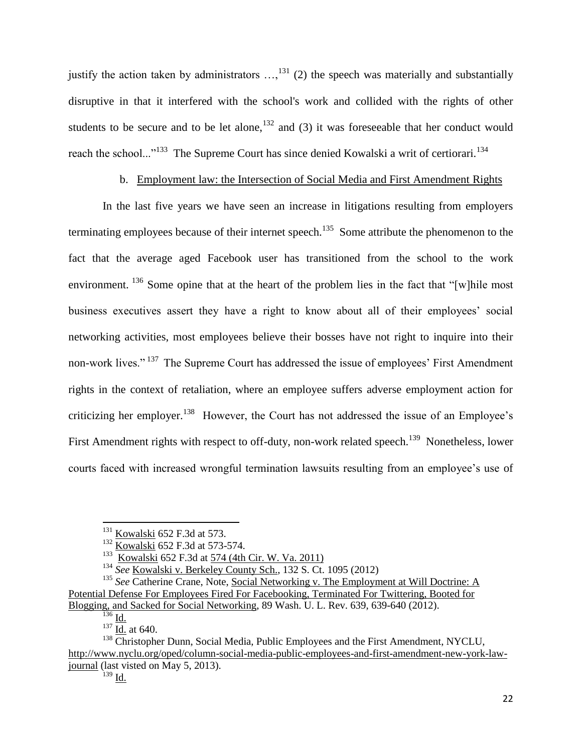justify the action taken by administrators  $...,^{131}$  (2) the speech was materially and substantially disruptive in that it interfered with the school's work and collided with the rights of other students to be secure and to be let alone,<sup>132</sup> and (3) it was foreseeable that her conduct would reach the school..."<sup>133</sup> The Supreme Court has since denied Kowalski a writ of certiorari.<sup>134</sup>

# b. Employment law: the Intersection of Social Media and First Amendment Rights

In the last five years we have seen an increase in litigations resulting from employers terminating employees because of their internet speech.<sup>135</sup> Some attribute the phenomenon to the fact that the average aged Facebook user has transitioned from the school to the work environment. <sup>136</sup> Some opine that at the heart of the problem lies in the fact that "[w] hile most business executives assert they have a right to know about all of their employees' social networking activities, most employees believe their bosses have not right to inquire into their non-work lives."<sup>137</sup> The Supreme Court has addressed the issue of employees' First Amendment rights in the context of retaliation, where an employee suffers adverse employment action for criticizing her employer.<sup>138</sup> However, the Court has not addressed the issue of an Employee's First Amendment rights with respect to off-duty, non-work related speech.<sup>139</sup> Nonetheless, lower courts faced with increased wrongful termination lawsuits resulting from an employee's use of

 $^{131}$  Kowalski 652 F.3d at 573.

 $\frac{132}{\text{Kowalski}}$  652 F.3d at 573-574.

<sup>133</sup> Kowalski [652 F.3d at 574 \(4th Cir. W. Va. 2011\)](http://www.lexis.com/research/xlink?app=00075&view=full&searchtype=le&search=652+F.3d+565%2520at%2520574)

<sup>134</sup> *See* [Kowalski v. Berkeley County Sch., 132 S. Ct. 1095 \(2012\)](http://www.lexis.com/research/xlink?app=00075&view=full&searchtype=le&search=132+S.+Ct.+1095)

<sup>&</sup>lt;sup>135</sup> See Catherine Crane, Note, Social Networking v. The Employment at Will Doctrine: A Potential Defense For Employees Fired For Facebooking, Terminated For Twittering, Booted for Blogging, and Sacked for Social Networking, [89 Wash. U. L. Rev. 639, 639-640](http://www.lexis.com/research/xlink?app=00075&view=full&searchtype=le&search=89+Wash.+U.+L.+Rev.+639%2520at%2520639) (2012).

 $\overline{^{136}}$  Id.

 $\frac{137}{10}$  id. at 640.

 $138$  Christopher Dunn, Social Media, Public Employees and the First Amendment, NYCLU, [http://www.nyclu.org/oped/column-social-media-public-employees-and-first-amendment-new-york-law](http://www.nyclu.org/oped/column-social-media-public-employees-and-first-amendment-new-york-law-journal)[journal](http://www.nyclu.org/oped/column-social-media-public-employees-and-first-amendment-new-york-law-journal) (last visted on May 5, 2013).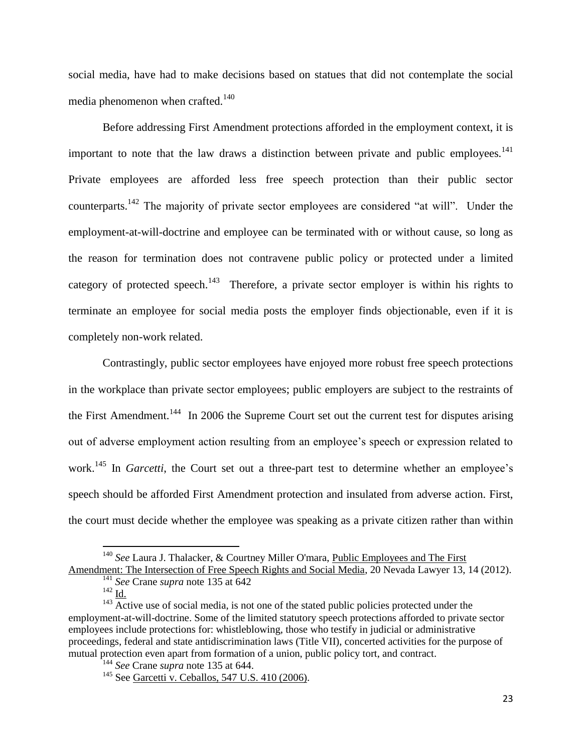social media, have had to make decisions based on statues that did not contemplate the social media phenomenon when crafted.<sup>140</sup>

Before addressing First Amendment protections afforded in the employment context, it is important to note that the law draws a distinction between private and public employees.<sup>141</sup> Private employees are afforded less free speech protection than their public sector counterparts.<sup>142</sup> The majority of private sector employees are considered "at will". Under the employment-at-will-doctrine and employee can be terminated with or without cause, so long as the reason for termination does not contravene public policy or protected under a limited category of protected speech.<sup>143</sup> Therefore, a private sector employer is within his rights to terminate an employee for social media posts the employer finds objectionable, even if it is completely non-work related.

Contrastingly, public sector employees have enjoyed more robust free speech protections in the workplace than private sector employees; public employers are subject to the restraints of the First Amendment.<sup>144</sup> In 2006 the Supreme Court set out the current test for disputes arising out of adverse employment action resulting from an employee's speech or expression related to work.<sup>145</sup> In *Garcetti*, the Court set out a three-part test to determine whether an employee's speech should be afforded First Amendment protection and insulated from adverse action. First, the court must decide whether the employee was speaking as a private citizen rather than within

<sup>140</sup> *See* Laura J. Thalacker, & Courtney Miller O'mara, Public Employees and The First Amendment: The Intersection of Free Speech Rights and Social Media, 20 Nevada Lawyer 13, 14 (2012).

<sup>141</sup> *See* Crane *supra* note 135 at 642

 $^{142}$  <u>Id.</u>

 $^{143}$  Active use of social media, is not one of the stated public policies protected under the employment-at-will-doctrine. Some of the limited statutory speech protections afforded to private sector employees include protections for: whistleblowing, those who testify in judicial or administrative proceedings, federal and state antidiscrimination laws (Title VII), concerted activities for the purpose of mutual protection even apart from formation of a union, public policy tort, and contract.

<sup>144</sup> *See* Crane *supra* note 135 at 644.

<sup>&</sup>lt;sup>145</sup> See [Garcetti v. Ceballos, 547 U.S. 410 \(2006\).](http://www.lexis.com/research/xlink?app=00075&view=full&searchtype=le&search=547+U.S.+410)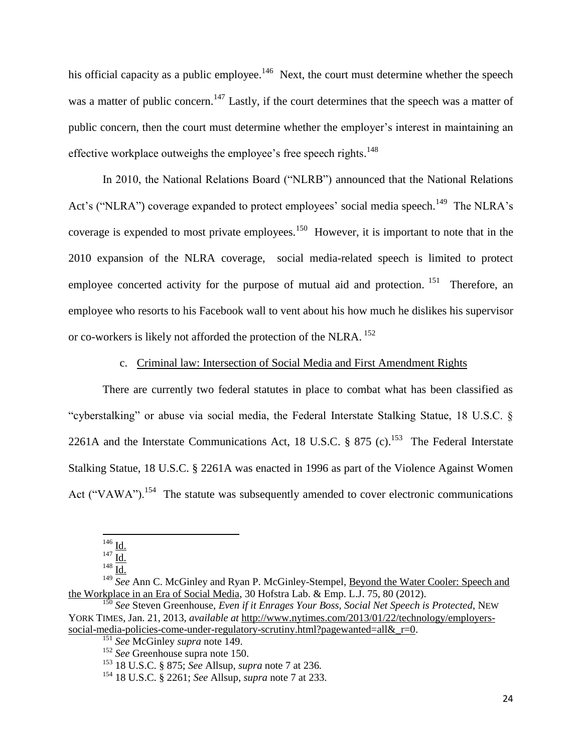his official capacity as a public employee.<sup>146</sup> Next, the court must determine whether the speech was a matter of public concern.<sup>147</sup> Lastly, if the court determines that the speech was a matter of public concern, then the court must determine whether the employer's interest in maintaining an effective workplace outweighs the employee's free speech rights.<sup>148</sup>

In 2010, the National Relations Board ("NLRB") announced that the National Relations Act's ("NLRA") coverage expanded to protect employees' social media speech.<sup>149</sup> The NLRA's coverage is expended to most private employees.<sup>150</sup> However, it is important to note that in the 2010 expansion of the NLRA coverage, social media-related speech is limited to protect employee concerted activity for the purpose of mutual aid and protection. <sup>151</sup> Therefore, an employee who resorts to his Facebook wall to vent about his how much he dislikes his supervisor or co-workers is likely not afforded the protection of the NLRA. <sup>152</sup>

c. Criminal law: Intersection of Social Media and First Amendment Rights

There are currently two federal statutes in place to combat what has been classified as "cyberstalking" or abuse via social media, the Federal Interstate Stalking Statue, 18 U.S.C. § 2261A and the Interstate Communications Act, 18 U.S.C.  $\S$  875 (c).<sup>153</sup> The Federal Interstate Stalking Statue, 18 U.S.C. § 2261A was enacted in 1996 as part of the Violence Against Women Act ("VAWA").<sup>154</sup> The statute was subsequently amended to cover electronic communications

 $\overline{\phantom{a}}$  $^{146}$   $\underline{Id}$ .

 $147 \overline{Id.}$ 

 $^{148}$   $\overline{\text{Id}}$ .

<sup>&</sup>lt;sup>149</sup> *See* Ann C. McGinley and Ryan P. McGinley-Stempel, Beyond the Water Cooler: Speech and the Workplace in an Era of Social Media, 30 Hofstra Lab. & Emp. L.J. 75, 80 (2012).

<sup>150</sup> *See* Steven Greenhouse, *Even if it Enrages Your Boss, Social Net Speech is Protected*, NEW YORK TIMES, Jan. 21, 2013, *available at* [http://www.nytimes.com/2013/01/22/technology/employers](http://www.nytimes.com/2013/01/22/technology/employers-social-media-policies-come-under-regulatory-scrutiny.html?pagewanted=all&_r=0)social-media-policies-come-under-regulatory-scrutiny.html?pagewanted=all& $r=0$ .

<sup>151</sup> *See* McGinley *supra* note 149.

<sup>152</sup> *See* Greenhouse supra note 150.

<sup>153</sup> 18 U.S.C. § 875; *See* Allsup, *supra* note 7 at 236.

<sup>154</sup> 18 U.S.C. § 2261; *See* Allsup, *supra* note 7 at 233.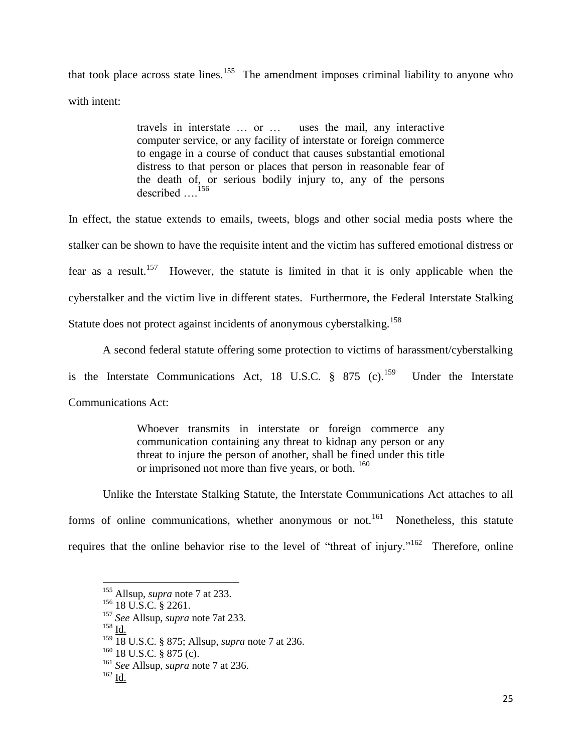that took place across state lines.<sup>155</sup> The amendment imposes criminal liability to anyone who with intent:

> travels in interstate … or … uses the mail, any interactive computer service, or any facility of interstate or foreign commerce to engage in a course of conduct that causes substantial emotional distress to that person or places that person in reasonable fear of the death of, or serious bodily injury to, any of the persons described ....<sup>156</sup>

In effect, the statue extends to emails, tweets, blogs and other social media posts where the stalker can be shown to have the requisite intent and the victim has suffered emotional distress or fear as a result.<sup>157</sup> However, the statute is limited in that it is only applicable when the cyberstalker and the victim live in different states. Furthermore, the Federal Interstate Stalking Statute does not protect against incidents of anonymous cyberstalking.<sup>158</sup>

A second federal statute offering some protection to victims of harassment/cyberstalking is the Interstate Communications Act, 18 U.S.C.  $\S$  875 (c).<sup>159</sup> Under the Interstate Communications Act:

> Whoever transmits in interstate or foreign commerce any communication containing any threat to kidnap any person or any threat to injure the person of another, shall be fined under this title or imprisoned not more than five years, or both. <sup>160</sup>

Unlike the Interstate Stalking Statute, the Interstate Communications Act attaches to all forms of online communications, whether anonymous or not.<sup>161</sup> Nonetheless, this statute requires that the online behavior rise to the level of "threat of injury."<sup>162</sup> Therefore, online

 $^{158}$  Id.

 $\overline{\phantom{a}}$ 

 $160$  18 U.S.C. § 875 (c).

<sup>155</sup> Allsup, *supra* note 7 at 233.

 $156$  18 U.S.C. § 2261.

<sup>157</sup> *See* Allsup, *supra* note 7at 233.

<sup>159</sup> 18 U.S.C. § 875; Allsup, *supra* note 7 at 236.

<sup>161</sup> *See* Allsup, *supra* note 7 at 236.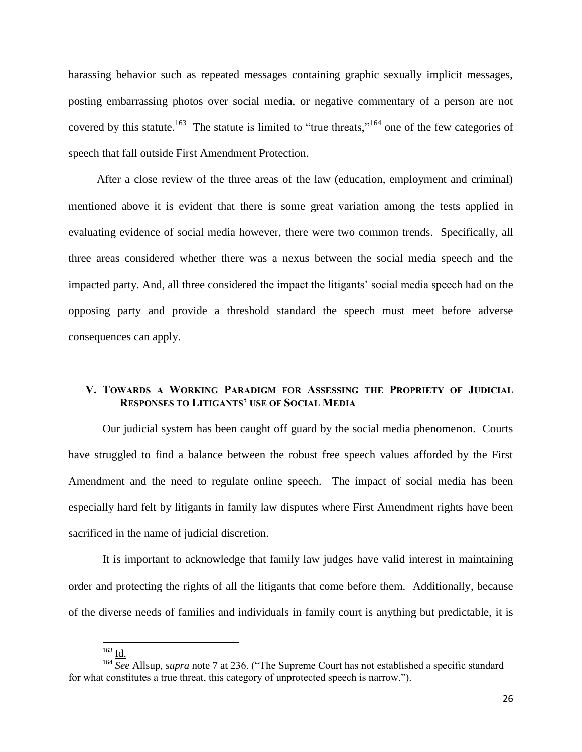harassing behavior such as repeated messages containing graphic sexually implicit messages, posting embarrassing photos over social media, or negative commentary of a person are not covered by this statute.<sup>163</sup> The statute is limited to "true threats,"<sup>164</sup> one of the few categories of speech that fall outside First Amendment Protection.

 After a close review of the three areas of the law (education, employment and criminal) mentioned above it is evident that there is some great variation among the tests applied in evaluating evidence of social media however, there were two common trends. Specifically, all three areas considered whether there was a nexus between the social media speech and the impacted party. And, all three considered the impact the litigants' social media speech had on the opposing party and provide a threshold standard the speech must meet before adverse consequences can apply.

# **V. TOWARDS A WORKING PARADIGM FOR ASSESSING THE PROPRIETY OF JUDICIAL RESPONSES TO LITIGANTS' USE OF SOCIAL MEDIA**

Our judicial system has been caught off guard by the social media phenomenon. Courts have struggled to find a balance between the robust free speech values afforded by the First Amendment and the need to regulate online speech. The impact of social media has been especially hard felt by litigants in family law disputes where First Amendment rights have been sacrificed in the name of judicial discretion.

It is important to acknowledge that family law judges have valid interest in maintaining order and protecting the rights of all the litigants that come before them. Additionally, because of the diverse needs of families and individuals in family court is anything but predictable, it is

 $\overline{a}$ 

 $^{163}$  Id.

<sup>&</sup>lt;sup>164</sup> See Allsup, *supra* note 7 at 236. ("The Supreme Court has not established a specific standard for what constitutes a true threat, this category of unprotected speech is narrow.").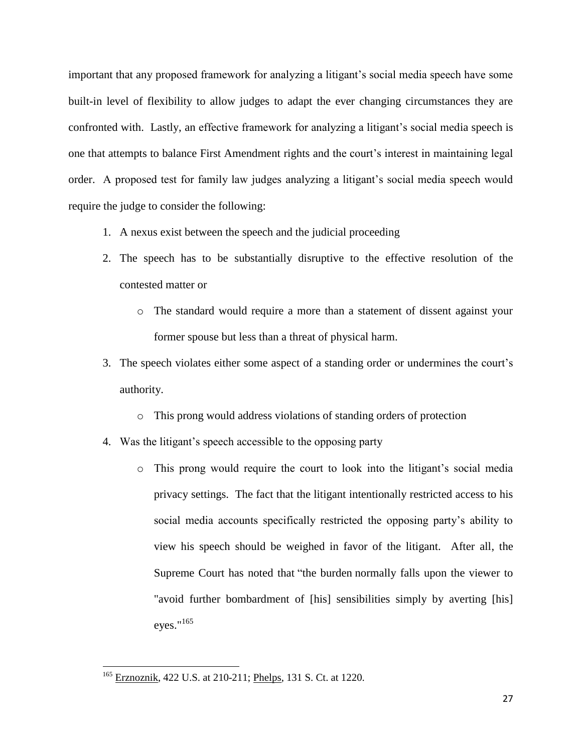important that any proposed framework for analyzing a litigant's social media speech have some built-in level of flexibility to allow judges to adapt the ever changing circumstances they are confronted with. Lastly, an effective framework for analyzing a litigant's social media speech is one that attempts to balance First Amendment rights and the court's interest in maintaining legal order. A proposed test for family law judges analyzing a litigant's social media speech would require the judge to consider the following:

- 1. A nexus exist between the speech and the judicial proceeding
- 2. The speech has to be substantially disruptive to the effective resolution of the contested matter or
	- o The standard would require a more than a statement of dissent against your former spouse but less than a threat of physical harm.
- 3. The speech violates either some aspect of a standing order or undermines the court's authority.
	- o This prong would address violations of standing orders of protection
- 4. Was the litigant's speech accessible to the opposing party
	- o This prong would require the court to look into the litigant's social media privacy settings. The fact that the litigant intentionally restricted access to his social media accounts specifically restricted the opposing party's ability to view his speech should be weighed in favor of the litigant. After all, the Supreme Court has noted that "the burden normally falls upon the viewer to "avoid further bombardment of [his] sensibilities simply by averting [his] eyes."<sup>165</sup>

<sup>&</sup>lt;sup>165</sup> Erznoznik, 422 U.S. at 210-211; Phelps, 131 S. Ct. at 1220.